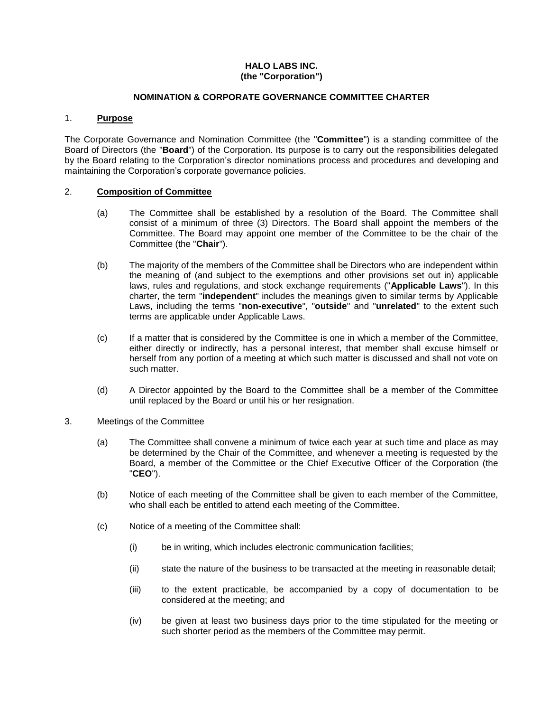# **HALO LABS INC. (the "Corporation")**

## **NOMINATION & CORPORATE GOVERNANCE COMMITTEE CHARTER**

# 1. **Purpose**

The Corporate Governance and Nomination Committee (the "**Committee**") is a standing committee of the Board of Directors (the "**Board**") of the Corporation. Its purpose is to carry out the responsibilities delegated by the Board relating to the Corporation's director nominations process and procedures and developing and maintaining the Corporation's corporate governance policies.

# 2. **Composition of Committee**

- (a) The Committee shall be established by a resolution of the Board. The Committee shall consist of a minimum of three (3) Directors. The Board shall appoint the members of the Committee. The Board may appoint one member of the Committee to be the chair of the Committee (the "**Chair**").
- (b) The majority of the members of the Committee shall be Directors who are independent within the meaning of (and subject to the exemptions and other provisions set out in) applicable laws, rules and regulations, and stock exchange requirements ("**Applicable Laws**"). In this charter, the term "**independent**" includes the meanings given to similar terms by Applicable Laws, including the terms "**non-executive**", "**outside**" and "**unrelated**" to the extent such terms are applicable under Applicable Laws.
- (c) If a matter that is considered by the Committee is one in which a member of the Committee, either directly or indirectly, has a personal interest, that member shall excuse himself or herself from any portion of a meeting at which such matter is discussed and shall not vote on such matter.
- (d) A Director appointed by the Board to the Committee shall be a member of the Committee until replaced by the Board or until his or her resignation.

## 3. Meetings of the Committee

- (a) The Committee shall convene a minimum of twice each year at such time and place as may be determined by the Chair of the Committee, and whenever a meeting is requested by the Board, a member of the Committee or the Chief Executive Officer of the Corporation (the "**CEO**").
- (b) Notice of each meeting of the Committee shall be given to each member of the Committee, who shall each be entitled to attend each meeting of the Committee.
- (c) Notice of a meeting of the Committee shall:
	- (i) be in writing, which includes electronic communication facilities;
	- (ii) state the nature of the business to be transacted at the meeting in reasonable detail;
	- (iii) to the extent practicable, be accompanied by a copy of documentation to be considered at the meeting; and
	- (iv) be given at least two business days prior to the time stipulated for the meeting or such shorter period as the members of the Committee may permit.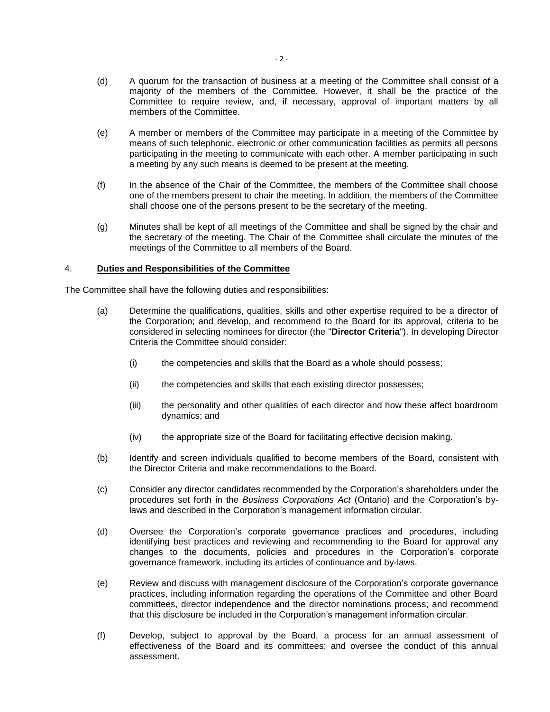- (d) A quorum for the transaction of business at a meeting of the Committee shall consist of a majority of the members of the Committee. However, it shall be the practice of the Committee to require review, and, if necessary, approval of important matters by all members of the Committee.
- (e) A member or members of the Committee may participate in a meeting of the Committee by means of such telephonic, electronic or other communication facilities as permits all persons participating in the meeting to communicate with each other. A member participating in such a meeting by any such means is deemed to be present at the meeting.
- (f) In the absence of the Chair of the Committee, the members of the Committee shall choose one of the members present to chair the meeting. In addition, the members of the Committee shall choose one of the persons present to be the secretary of the meeting.
- (g) Minutes shall be kept of all meetings of the Committee and shall be signed by the chair and the secretary of the meeting. The Chair of the Committee shall circulate the minutes of the meetings of the Committee to all members of the Board.

### 4. **Duties and Responsibilities of the Committee**

The Committee shall have the following duties and responsibilities:

- (a) Determine the qualifications, qualities, skills and other expertise required to be a director of the Corporation; and develop, and recommend to the Board for its approval, criteria to be considered in selecting nominees for director (the "**Director Criteria**"). In developing Director Criteria the Committee should consider:
	- (i) the competencies and skills that the Board as a whole should possess;
	- (ii) the competencies and skills that each existing director possesses;
	- (iii) the personality and other qualities of each director and how these affect boardroom dynamics; and
	- (iv) the appropriate size of the Board for facilitating effective decision making.
- (b) Identify and screen individuals qualified to become members of the Board, consistent with the Director Criteria and make recommendations to the Board.
- (c) Consider any director candidates recommended by the Corporation's shareholders under the procedures set forth in the *Business Corporations Act* (Ontario) and the Corporation's bylaws and described in the Corporation's management information circular.
- (d) Oversee the Corporation's corporate governance practices and procedures, including identifying best practices and reviewing and recommending to the Board for approval any changes to the documents, policies and procedures in the Corporation's corporate governance framework, including its articles of continuance and by-laws.
- (e) Review and discuss with management disclosure of the Corporation's corporate governance practices, including information regarding the operations of the Committee and other Board committees, director independence and the director nominations process; and recommend that this disclosure be included in the Corporation's management information circular.
- (f) Develop, subject to approval by the Board, a process for an annual assessment of effectiveness of the Board and its committees; and oversee the conduct of this annual assessment.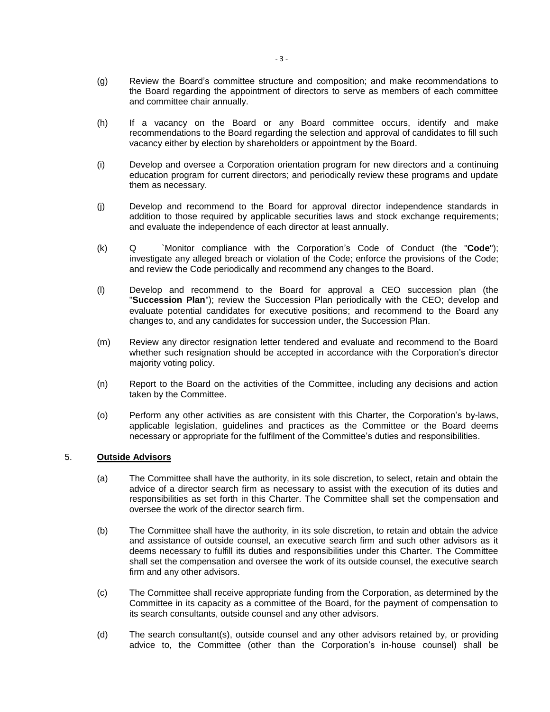- (g) Review the Board's committee structure and composition; and make recommendations to the Board regarding the appointment of directors to serve as members of each committee and committee chair annually.
- (h) If a vacancy on the Board or any Board committee occurs, identify and make recommendations to the Board regarding the selection and approval of candidates to fill such vacancy either by election by shareholders or appointment by the Board.
- (i) Develop and oversee a Corporation orientation program for new directors and a continuing education program for current directors; and periodically review these programs and update them as necessary.
- (j) Develop and recommend to the Board for approval director independence standards in addition to those required by applicable securities laws and stock exchange requirements; and evaluate the independence of each director at least annually.
- (k) Q `Monitor compliance with the Corporation's Code of Conduct (the "**Code**"); investigate any alleged breach or violation of the Code; enforce the provisions of the Code; and review the Code periodically and recommend any changes to the Board.
- (l) Develop and recommend to the Board for approval a CEO succession plan (the "**Succession Plan**"); review the Succession Plan periodically with the CEO; develop and evaluate potential candidates for executive positions; and recommend to the Board any changes to, and any candidates for succession under, the Succession Plan.
- (m) Review any director resignation letter tendered and evaluate and recommend to the Board whether such resignation should be accepted in accordance with the Corporation's director majority voting policy.
- (n) Report to the Board on the activities of the Committee, including any decisions and action taken by the Committee.
- (o) Perform any other activities as are consistent with this Charter, the Corporation's by-laws, applicable legislation, guidelines and practices as the Committee or the Board deems necessary or appropriate for the fulfilment of the Committee's duties and responsibilities.

## 5. **Outside Advisors**

- (a) The Committee shall have the authority, in its sole discretion, to select, retain and obtain the advice of a director search firm as necessary to assist with the execution of its duties and responsibilities as set forth in this Charter. The Committee shall set the compensation and oversee the work of the director search firm.
- (b) The Committee shall have the authority, in its sole discretion, to retain and obtain the advice and assistance of outside counsel, an executive search firm and such other advisors as it deems necessary to fulfill its duties and responsibilities under this Charter. The Committee shall set the compensation and oversee the work of its outside counsel, the executive search firm and any other advisors.
- (c) The Committee shall receive appropriate funding from the Corporation, as determined by the Committee in its capacity as a committee of the Board, for the payment of compensation to its search consultants, outside counsel and any other advisors.
- (d) The search consultant(s), outside counsel and any other advisors retained by, or providing advice to, the Committee (other than the Corporation's in-house counsel) shall be